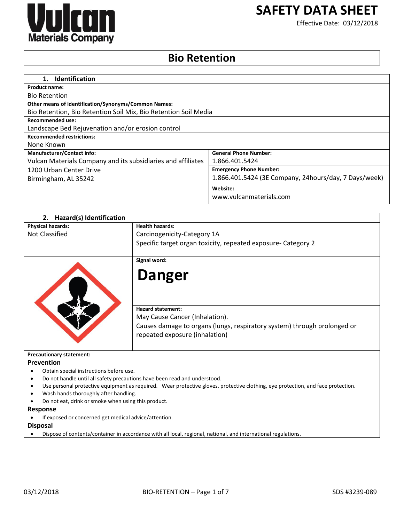

# **SAFETY DATA SHEET**

Effective Date: 03/12/2018

# **Bio Retention**

| <b>Identification</b><br>1.                                     |                                                       |
|-----------------------------------------------------------------|-------------------------------------------------------|
| <b>Product name:</b>                                            |                                                       |
| <b>Bio Retention</b>                                            |                                                       |
| <b>Other means of identification/Synonyms/Common Names:</b>     |                                                       |
| Bio Retention, Bio Retention Soil Mix, Bio Retention Soil Media |                                                       |
| <b>Recommended use:</b>                                         |                                                       |
| Landscape Bed Rejuvenation and/or erosion control               |                                                       |
| <b>Recommended restrictions:</b>                                |                                                       |
| None Known                                                      |                                                       |
| <b>Manufacturer/Contact info:</b>                               | <b>General Phone Number:</b>                          |
| Vulcan Materials Company and its subsidiaries and affiliates    | 1.866.401.5424                                        |
| 1200 Urban Center Drive                                         | <b>Emergency Phone Number:</b>                        |
| Birmingham, AL 35242                                            | 1.866.401.5424 (3E Company, 24hours/day, 7 Days/week) |
|                                                                 | Website:                                              |
|                                                                 | www.vulcanmaterials.com                               |

| Hazard(s) Identification<br>2.                      |                                                                                                                                  |
|-----------------------------------------------------|----------------------------------------------------------------------------------------------------------------------------------|
| <b>Physical hazards:</b>                            | <b>Health hazards:</b>                                                                                                           |
| Not Classified                                      | Carcinogenicity-Category 1A                                                                                                      |
|                                                     | Specific target organ toxicity, repeated exposure- Category 2                                                                    |
|                                                     | Signal word:                                                                                                                     |
|                                                     | <b>Danger</b>                                                                                                                    |
|                                                     | <b>Hazard statement:</b>                                                                                                         |
|                                                     | May Cause Cancer (Inhalation).                                                                                                   |
|                                                     | Causes damage to organs (lungs, respiratory system) through prolonged or<br>repeated exposure (inhalation)                       |
| <b>Precautionary statement:</b>                     |                                                                                                                                  |
| <b>Prevention</b>                                   |                                                                                                                                  |
| Obtain special instructions before use.             |                                                                                                                                  |
|                                                     | Do not handle until all safety precautions have been read and understood.                                                        |
|                                                     | Use personal protective equipment as required. Wear protective gloves, protective clothing, eye protection, and face protection. |
| Wash hands thoroughly after handling.               |                                                                                                                                  |
| Do not eat, drink or smoke when using this product. |                                                                                                                                  |

#### **Response**

If exposed or concerned get medical advice/attention.

**Disposal**

Dispose of contents/container in accordance with all local, regional, national, and international regulations.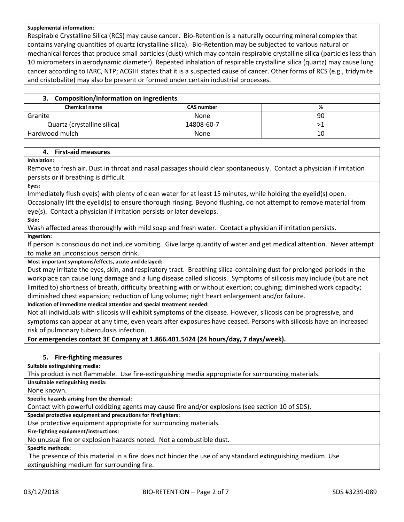#### **Supplemental information:**

Respirable Crystalline Silica (RCS) may cause cancer. Bio-Retention is a naturally occurring mineral complex that contains varying quantities of quartz (crystalline silica). Bio-Retention may be subjected to various natural or mechanical forces that produce small particles (dust) which may contain respirable crystalline silica (particles less than 10 micrometers in aerodynamic diameter). Repeated inhalation of respirable crystalline silica (quartz) may cause lung cancer according to IARC, NTP; ACGIH states that it is a suspected cause of cancer. Other forms of RCS (e.g., tridymite and cristobalite) may also be present or formed under certain industrial processes.

# **3. Composition/information on ingredients**

| <b>Chemical name</b>        | -<br><b>CAS number</b> | %  |
|-----------------------------|------------------------|----|
|                             |                        |    |
| Granite                     | None                   | 90 |
| Quartz (crystalline silica) | 14808-60-7             |    |
| Hardwood mulch              | None                   | 10 |

# **4. First-aid measures**

**Inhalation:**

Remove to fresh air. Dust in throat and nasal passages should clear spontaneously. Contact a physician if irritation persists or if breathing is difficult.

**Eyes:**

Immediately flush eye(s) with plenty of clean water for at least 15 minutes, while holding the eyelid(s) open. Occasionally lift the eyelid(s) to ensure thorough rinsing. Beyond flushing, do not attempt to remove material from

eye(s). Contact a physician if irritation persists or later develops.

**Skin:**

Wash affected areas thoroughly with mild soap and fresh water. Contact a physician if irritation persists.

**Ingestion:**

If person is conscious do not induce vomiting. Give large quantity of water and get medical attention. Never attempt to make an unconscious person drink.

**Most important symptoms/effects, acute and delayed:**

Dust may irritate the eyes, skin, and respiratory tract. Breathing silica-containing dust for prolonged periods in the workplace can cause lung damage and a lung disease called silicosis. Symptoms of silicosis may include (but are not limited to) shortness of breath, difficulty breathing with or without exertion; coughing; diminished work capacity; diminished chest expansion; reduction of lung volume; right heart enlargement and/or failure.

**Indication of immediate medical attention and special treatment needed:**

Not all individuals with silicosis will exhibit symptoms of the disease. However, silicosis can be progressive, and symptoms can appear at any time, even years after exposures have ceased. Persons with silicosis have an increased risk of pulmonary tuberculosis infection.

**For emergencies contact 3E Company at 1.866.401.5424 (24 hours/day, 7 days/week).**

# **5. Fire-fighting measures**

**Suitable extinguishing media:**

This product is not flammable. Use fire-extinguishing media appropriate for surrounding materials.

**Unsuitable extinguishing media:**

None known.

**Specific hazards arising from the chemical:**

Contact with powerful oxidizing agents may cause fire and/or explosions (see section 10 of SDS).

**Special protective equipment and precautions for firefighters:**

Use protective equipment appropriate for surrounding materials.

**Fire-fighting equipment/instructions:**

No unusual fire or explosion hazards noted. Not a combustible dust.

**Specific methods:**

The presence of this material in a fire does not hinder the use of any standard extinguishing medium. Use extinguishing medium for surrounding fire.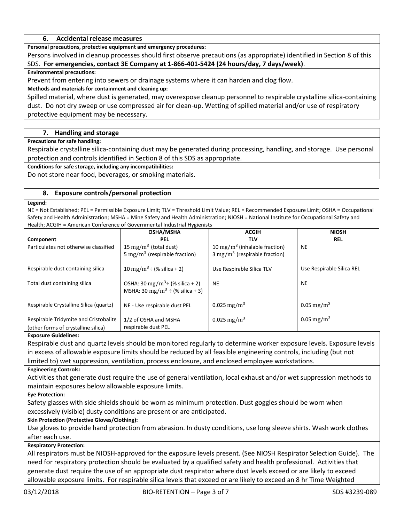# **6. Accidental release measures**

**Personal precautions, protective equipment and emergency procedures:**

Persons involved in cleanup processes should first observe precautions (as appropriate) identified in Section 8 of this SDS. **For emergencies, contact 3E Company at 1-866-401-5424 (24 hours/day, 7 days/week)**.

# **Environmental precautions:**

Prevent from entering into sewers or drainage systems where it can harden and clog flow.

# **Methods and materials for containment and cleaning up:**

Spilled material, where dust is generated, may overexpose cleanup personnel to respirable crystalline silica-containing dust. Do not dry sweep or use compressed air for clean-up. Wetting of spilled material and/or use of respiratory protective equipment may be necessary.

# **7. Handling and storage**

**Precautions for safe handling:**

Respirable crystalline silica-containing dust may be generated during processing, handling, and storage. Use personal protection and controls identified in Section 8 of this SDS as appropriate.

**Conditions for safe storage, including any incompatibilities:**

Do not store near food, beverages, or smoking materials.

# **8. Exposure controls/personal protection**

#### **Legend:**

NE = Not Established; PEL = Permissible Exposure Limit; TLV = Threshold Limit Value; REL = Recommended Exposure Limit; OSHA = Occupational Safety and Health Administration; MSHA = Mine Safety and Health Administration; NIOSH = National Institute for Occupational Safety and Health; ACGIH = American Conference of Governmental Industrial Hygienists

|                                        | <b>OSHA/MSHA</b>                                                                           | <b>ACGIH</b>                              | <b>NIOSH</b>              |
|----------------------------------------|--------------------------------------------------------------------------------------------|-------------------------------------------|---------------------------|
| Component                              | <b>PEL</b>                                                                                 | TLV                                       | <b>REL</b>                |
| Particulates not otherwise classified  | 15 mg/m <sup>3</sup> (total dust)                                                          | 10 mg/m <sup>3</sup> (inhalable fraction) | <b>NE</b>                 |
|                                        | 5 mg/m <sup>3</sup> (respirable fraction)                                                  | $3 \text{ mg/m}^3$ (respirable fraction)  |                           |
| Respirable dust containing silica      | 10 mg/m <sup>3</sup> ÷ (% silica + 2)                                                      | Use Respirable Silica TLV                 | Use Respirable Silica REL |
| Total dust containing silica           | OSHA: 30 mg/m <sup>3</sup> ÷ (% silica + 2)<br>MSHA: 30 mg/m <sup>3</sup> ÷ (% silica + 3) | <b>NE</b>                                 | <b>NE</b>                 |
| Respirable Crystalline Silica (quartz) | NE - Use respirable dust PEL                                                               | 0.025 mg/m <sup>3</sup>                   | 0.05 mg/m <sup>3</sup>    |
| Respirable Tridymite and Cristobalite  | 1/2 of OSHA and MSHA                                                                       | 0.025 mg/m <sup>3</sup>                   | 0.05 mg/m <sup>3</sup>    |
| (other forms of crystalline silica)    | respirable dust PEL                                                                        |                                           |                           |

# **Exposure Guidelines:**

Respirable dust and quartz levels should be monitored regularly to determine worker exposure levels. Exposure levels in excess of allowable exposure limits should be reduced by all feasible engineering controls, including (but not limited to) wet suppression, ventilation, process enclosure, and enclosed employee workstations.

# **Engineering Controls:**

Activities that generate dust require the use of general ventilation, local exhaust and/or wet suppression methods to maintain exposures below allowable exposure limits.

# **Eye Protection:**

Safety glasses with side shields should be worn as minimum protection. Dust goggles should be worn when excessively (visible) dusty conditions are present or are anticipated.

# **Skin Protection (Protective Gloves/Clothing):**

Use gloves to provide hand protection from abrasion. In dusty conditions, use long sleeve shirts. Wash work clothes after each use.

# **Respiratory Protection:**

All respirators must be NIOSH-approved for the exposure levels present. (See NIOSH Respirator Selection Guide). The need for respiratory protection should be evaluated by a qualified safety and health professional. Activities that generate dust require the use of an appropriate dust respirator where dust levels exceed or are likely to exceed allowable exposure limits. For respirable silica levels that exceed or are likely to exceed an 8 hr Time Weighted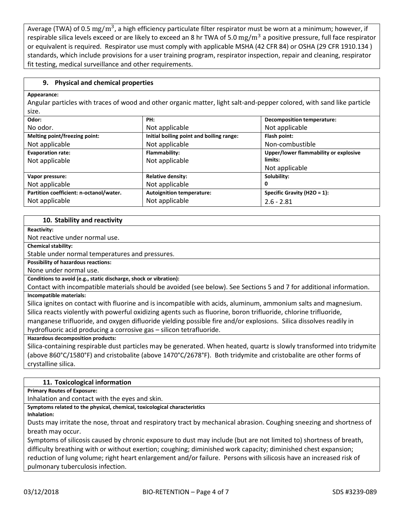Average (TWA) of 0.5 mg/m<sup>3</sup>, a high efficiency particulate filter respirator must be worn at a minimum; however, if respirable silica levels exceed or are likely to exceed an 8 hr TWA of 5.0 mg/m<sup>3</sup> a positive pressure, full face respirator or equivalent is required. Respirator use must comply with applicable MSHA (42 CFR 84) or OSHA (29 CFR 1910.134 ) standards, which include provisions for a user training program, respirator inspection, repair and cleaning, respirator fit testing, medical surveillance and other requirements.

# **9. Physical and chemical properties**

#### **Appearance:**

Angular particles with traces of wood and other organic matter, light salt-and-pepper colored, with sand like particle size.

| Odor:                                   | PH:                                      | <b>Decomposition temperature:</b>     |
|-----------------------------------------|------------------------------------------|---------------------------------------|
| No odor.                                | Not applicable                           | Not applicable                        |
| Melting point/freezing point:           | Initial boiling point and boiling range: | Flash point:                          |
| Not applicable                          | Not applicable                           | Non-combustible                       |
| <b>Evaporation rate:</b>                | Flammability:                            | Upper/lower flammability or explosive |
| Not applicable                          | Not applicable                           | limits:                               |
|                                         |                                          | Not applicable                        |
| Vapor pressure:                         | <b>Relative density:</b>                 | Solubility:                           |
| Not applicable                          | Not applicable                           | 0                                     |
| Partition coefficient: n-octanol/water. | <b>Autoignition temperature:</b>         | Specific Gravity ( $H2O = 1$ ):       |
| Not applicable                          | Not applicable                           | $2.6 - 2.81$                          |

#### **10. Stability and reactivity**

**Reactivity:**

Not reactive under normal use.

**Chemical stability:**

Stable under normal temperatures and pressures.

**Possibility of hazardous reactions:**

None under normal use.

**Conditions to avoid (e.g., static discharge, shock or vibration):**

Contact with incompatible materials should be avoided (see below). See Sections 5 and 7 for additional information. **Incompatible materials:**

Silica ignites on contact with fluorine and is incompatible with acids, aluminum, ammonium salts and magnesium. Silica reacts violently with powerful oxidizing agents such as fluorine, boron trifluoride, chlorine trifluoride, manganese trifluoride, and oxygen difluoride yielding possible fire and/or explosions. Silica dissolves readily in hydrofluoric acid producing a corrosive gas – silicon tetrafluoride.

**Hazardous decomposition products:**

Silica-containing respirable dust particles may be generated. When heated, quartz is slowly transformed into tridymite (above 860°C/1580°F) and cristobalite (above 1470°C/2678°F). Both tridymite and cristobalite are other forms of crystalline silica.

# **11. Toxicological information**

**Primary Routes of Exposure:**

Inhalation and contact with the eyes and skin.

# **Symptoms related to the physical, chemical, toxicological characteristics**

**Inhalation:**

Dusts may irritate the nose, throat and respiratory tract by mechanical abrasion. Coughing sneezing and shortness of breath may occur.

Symptoms of silicosis caused by chronic exposure to dust may include (but are not limited to) shortness of breath, difficulty breathing with or without exertion; coughing; diminished work capacity; diminished chest expansion; reduction of lung volume; right heart enlargement and/or failure. Persons with silicosis have an increased risk of pulmonary tuberculosis infection.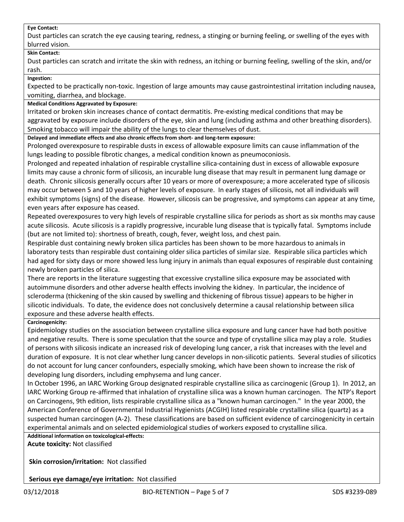#### **Eye Contact:**

Dust particles can scratch the eye causing tearing, redness, a stinging or burning feeling, or swelling of the eyes with blurred vision.

# **Skin Contact:**

Dust particles can scratch and irritate the skin with redness, an itching or burning feeling, swelling of the skin, and/or rash.

#### **Ingestion:**

Expected to be practically non-toxic. Ingestion of large amounts may cause gastrointestinal irritation including nausea, vomiting, diarrhea, and blockage.

# **Medical Conditions Aggravated by Exposure:**

Irritated or broken skin increases chance of contact dermatitis. Pre-existing medical conditions that may be aggravated by exposure include disorders of the eye, skin and lung (including asthma and other breathing disorders). Smoking tobacco will impair the ability of the lungs to clear themselves of dust.

**Delayed and immediate effects and also chronic effects from short- and long-term exposure:**

Prolonged overexposure to respirable dusts in excess of allowable exposure limits can cause inflammation of the lungs leading to possible fibrotic changes, a medical condition known as pneumoconiosis.

Prolonged and repeated inhalation of respirable crystalline silica-containing dust in excess of allowable exposure limits may cause a chronic form of silicosis, an incurable lung disease that may result in permanent lung damage or death. Chronic silicosis generally occurs after 10 years or more of overexposure; a more accelerated type of silicosis may occur between 5 and 10 years of higher levels of exposure. In early stages of silicosis, not all individuals will exhibit symptoms (signs) of the disease. However, silicosis can be progressive, and symptoms can appear at any time, even years after exposure has ceased.

Repeated overexposures to very high levels of respirable crystalline silica for periods as short as six months may cause acute silicosis. Acute silicosis is a rapidly progressive, incurable lung disease that is typically fatal. Symptoms include (but are not limited to): shortness of breath, cough, fever, weight loss, and chest pain.

Respirable dust containing newly broken silica particles has been shown to be more hazardous to animals in laboratory tests than respirable dust containing older silica particles of similar size. Respirable silica particles which had aged for sixty days or more showed less lung injury in animals than equal exposures of respirable dust containing newly broken particles of silica.

There are reports in the literature suggesting that excessive crystalline silica exposure may be associated with autoimmune disorders and other adverse health effects involving the kidney. In particular, the incidence of scleroderma (thickening of the skin caused by swelling and thickening of fibrous tissue) appears to be higher in silicotic individuals. To date, the evidence does not conclusively determine a causal relationship between silica exposure and these adverse health effects.

# **Carcinogenicity:**

Epidemiology studies on the association between crystalline silica exposure and lung cancer have had both positive and negative results. There is some speculation that the source and type of crystalline silica may play a role. Studies of persons with silicosis indicate an increased risk of developing lung cancer, a risk that increases with the level and duration of exposure. It is not clear whether lung cancer develops in non-silicotic patients. Several studies of silicotics do not account for lung cancer confounders, especially smoking, which have been shown to increase the risk of developing lung disorders, including emphysema and lung cancer.

In October 1996, an IARC Working Group designated respirable crystalline silica as carcinogenic (Group 1). In 2012, an IARC Working Group re-affirmed that inhalation of crystalline silica was a known human carcinogen. The NTP's Report on Carcinogens, 9th edition, lists respirable crystalline silica as a "known human carcinogen." In the year 2000, the American Conference of Governmental Industrial Hygienists (ACGIH) listed respirable crystalline silica (quartz) as a suspected human carcinogen (A-2). These classifications are based on sufficient evidence of carcinogenicity in certain experimental animals and on selected epidemiological studies of workers exposed to crystalline silica.

**Additional information on toxicological-effects: Acute toxicity:** Not classified

**Skin corrosion/irritation:** Not classified

**Serious eye damage/eye irritation:** Not classified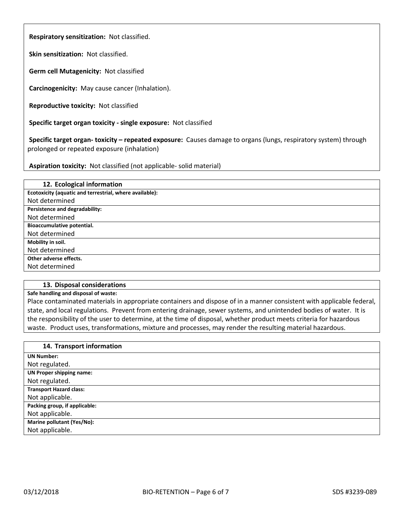**Respiratory sensitization:** Not classified.

**Skin sensitization:** Not classified.

**Germ cell Mutagenicity:** Not classified

**Carcinogenicity:** May cause cancer (Inhalation).

**Reproductive toxicity:** Not classified

**Specific target organ toxicity - single exposure:** Not classified

**Specific target organ- toxicity – repeated exposure:** Causes damage to organs (lungs, respiratory system) through prolonged or repeated exposure (inhalation)

**Aspiration toxicity:** Not classified (not applicable- solid material)

| 12. Ecological information                              |
|---------------------------------------------------------|
| Ecotoxicity (aquatic and terrestrial, where available): |
| Not determined                                          |
| Persistence and degradability:                          |
| Not determined                                          |
| Bioaccumulative potential.                              |
| Not determined                                          |
| Mobility in soil.                                       |
| Not determined                                          |
| Other adverse effects.                                  |
| Not determined                                          |

# **13. Disposal considerations**

#### **Safe handling and disposal of waste:**

Place contaminated materials in appropriate containers and dispose of in a manner consistent with applicable federal, state, and local regulations. Prevent from entering drainage, sewer systems, and unintended bodies of water. It is the responsibility of the user to determine, at the time of disposal, whether product meets criteria for hazardous waste. Product uses, transformations, mixture and processes, may render the resulting material hazardous.

| 14. Transport information       |
|---------------------------------|
| <b>UN Number:</b>               |
| Not regulated.                  |
| <b>UN Proper shipping name:</b> |
| Not regulated.                  |
| <b>Transport Hazard class:</b>  |
| Not applicable.                 |
| Packing group, if applicable:   |
| Not applicable.                 |
| Marine pollutant (Yes/No):      |
| Not applicable.                 |